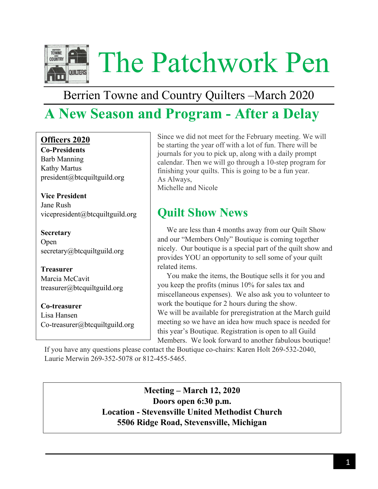

# Berrien Towne and Country Quilters –March 2020

# **A New Season and Program - After a Delay**

## **Officers 2020**

**Co-Presidents** Barb Manning Kathy Martus president@btcquiltguild.org

**Vice President** Jane Rush [vicepresident@btcquiltguild.org](mailto:vicepresident@btcquiltguild.org)

**Secretary** Open secretary@btcquiltguild.org

**Treasurer** Marcia McCavit [treasurer@btcquiltguild.org](mailto:treasurer@btcquiltguild.org)

**Co-treasurer** Lisa Hansen [Co-treasurer@btcquiltguild.org](mailto:Co-treasurer@btcquiltguild.org)

Since we did not meet for the February meeting. We will be starting the year off with a lot of fun. There will be journals for you to pick up, along with a daily prompt calendar. Then we will go through a 10-step program for finishing your quilts. This is going to be a fun year. As Always, Michelle and Nicole

# **Quilt Show News**

 We are less than 4 months away from our Quilt Show and our "Members Only" Boutique is coming together nicely. Our boutique is a special part of the quilt show and provides YOU an opportunity to sell some of your quilt related items.

 You make the items, the Boutique sells it for you and you keep the profits (minus 10% for sales tax and miscellaneous expenses). We also ask you to volunteer to work the boutique for 2 hours during the show. We will be available for preregistration at the March guild meeting so we have an idea how much space is needed for this year's Boutique. Registration is open to all Guild Members. We look forward to another fabulous boutique!

If you have any questions please contact the Boutique co-chairs: Karen Holt 269-532-2040, Laurie Merwin 269-352-5078 or 812-455-5465.

> **Meeting – March 12, 2020 Doors open 6:30 p.m. Location - Stevensville United Methodist Church 5506 Ridge Road, Stevensville, Michigan**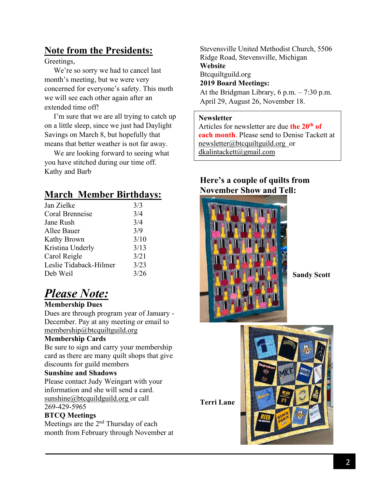## **Note from the Presidents:**

Greetings,

 We're so sorry we had to cancel last month's meeting, but we were very concerned for everyone's safety. This moth we will see each other again after an extended time off!

 I'm sure that we are all trying to catch up on a little sleep, since we just had Daylight Savings on March 8, but hopefully that means that better weather is not far away.

 We are looking forward to seeing what you have stitched during our time off. Kathy and Barb

## **March Member Birthdays:**

| 3/3  |
|------|
| 3/4  |
| 3/4  |
| 3/9  |
| 3/10 |
| 3/13 |
| 3/21 |
| 3/23 |
| 3/26 |
|      |

# *Please Note:*

### **Membership Dues**

Dues are through program year of January - December. Pay at any meeting or email to [membership@btcquiltguild.org](mailto:membership@btcquiltguild.org)

### **Membership Cards**

Be sure to sign and carry your membership card as there are many quilt shops that give discounts for guild members

### **Sunshine and Shadows**

Please contact Judy Weingart with your information and she will send a card. [sunshine@btcquildguild.org](mailto:sunshine@btcquildguild.org) or call 269-429-5965

### **BTCQ Meetings**

Meetings are the  $2<sup>nd</sup>$  Thursday of each month from February through November at Stevensville United Methodist Church, 5506 Ridge Road, Stevensville, Michigan **Website** Btcquiltguild.org **2019 Board Meetings:** At the Bridgman Library,  $6$  p.m.  $- 7:30$  p.m. April 29, August 26, November 18.

#### **Newsletter**

Articles for newsletter are due **the 20th of each month**. Please send to Denise Tackett at [newsletter@btcquiltguild.org](mailto:newsletter@btcquiltguild.org) or [dkalintackett@gmail.com](mailto:dkalintackett@gmail.com) 

## **Here's a couple of quilts from November Show and Tell:**



**Sandy Scott**

**Terri Lane**

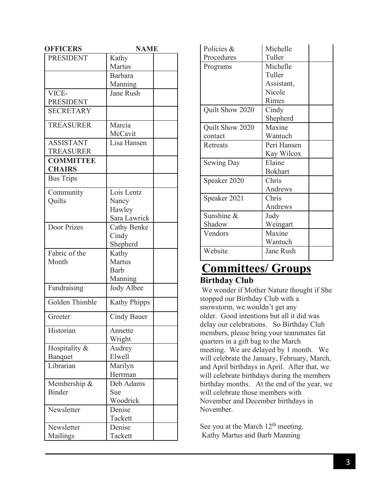| <b>OFFICERS</b>  | <b>NAME</b>         |  |  |
|------------------|---------------------|--|--|
| <b>PRESIDENT</b> | Kathy               |  |  |
|                  | Martus              |  |  |
|                  | <b>Barbara</b>      |  |  |
|                  | Manning             |  |  |
| VICE-            | <b>Jane Rush</b>    |  |  |
| <b>PRESIDENT</b> |                     |  |  |
| <b>SECRETARY</b> |                     |  |  |
|                  |                     |  |  |
| <b>TREASURER</b> | Marcia              |  |  |
|                  | McCavit             |  |  |
| <b>ASSISTANT</b> | Lisa Hansen         |  |  |
| <b>TREASURER</b> |                     |  |  |
| <b>COMMITTEE</b> |                     |  |  |
| <b>CHAIRS</b>    |                     |  |  |
| <b>Bus Trips</b> |                     |  |  |
| Community        | Lois Lentz          |  |  |
| Quilts           | Nancy               |  |  |
|                  | Hawley              |  |  |
|                  | Sara Lawrick        |  |  |
| Door Prizes      | Cathy Benke         |  |  |
|                  | Cindy               |  |  |
|                  | Shepherd            |  |  |
| Fabric of the    | Kathy               |  |  |
| Month            | Martus              |  |  |
|                  | Barb                |  |  |
|                  | Manning             |  |  |
| Fundraising      | Jody Albee          |  |  |
|                  |                     |  |  |
| Golden Thimble   | <b>Kathy Phipps</b> |  |  |
| Greeter          | <b>Cindy Bauer</b>  |  |  |
| Historian        | Annette             |  |  |
|                  | Wright              |  |  |
| Hospitality &    | Audrey              |  |  |
| Banquet          | Elwell              |  |  |
| Librarian        | Marilyn             |  |  |
|                  | Herrman             |  |  |
| Membership &     | Deb Adams           |  |  |
| <b>Binder</b>    | Sue                 |  |  |
|                  | Woodrick            |  |  |
| Newsletter       | Denise              |  |  |
|                  | Tackett             |  |  |
| Newsletter       | Denise              |  |  |
| Mailings         | Tackett             |  |  |

| Policies &      | Michelle       |  |
|-----------------|----------------|--|
| Procedures      | Tuller         |  |
| Programs        | Michelle       |  |
|                 | Tuller         |  |
|                 | Assistant,     |  |
|                 | Nicole         |  |
|                 | Rimes          |  |
| Quilt Show 2020 | Cindy          |  |
|                 | Shepherd       |  |
| Quilt Show 2020 | Maxine         |  |
| contact         | Wantuch        |  |
| Retreats        | Peri Hansen    |  |
|                 | Kay Wilcox     |  |
| Sewing Day      | Elaine         |  |
|                 | <b>Bokhart</b> |  |
| Speaker 2020    | Chris          |  |
|                 | Andrews        |  |
| Speaker 2021    | Chris          |  |
|                 | Andrews        |  |
| Sunshine &      | Judy           |  |
| Shadow          | Weingart       |  |
| Vendors         | Maxine         |  |
|                 | Wantuch        |  |
| Website         | Jane Rush      |  |

## **Committees/ Groups Birthday Club**

We wonder if Mother Nature thought if She stopped our Birthday Club with a snowstorm, we wouldn't get any older. Good intentions but all it did was delay our celebrations. So Birthday Club members, please bring your teammates fat quarters in a gift bag to the March meeting. We are delayed by 1 month. We will celebrate the January, February, March, and April birthdays in April. After that, we will celebrate birthdays during the members birthday months. At the end of the year, we will celebrate those members with November and December birthdays in November.

See you at the March  $12<sup>th</sup>$  meeting. Kathy Martus and Barb Manning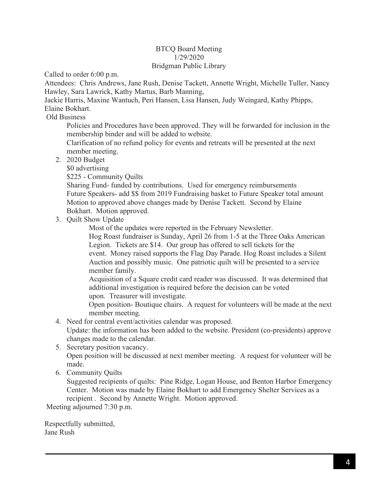#### BTCQ Board Meeting 1/29/2020 Bridgman Public Library

Called to order 6:00 p.m.

Attendees: Chris Andrews, Jane Rush, Denise Tackett, Annette Wright, Michelle Tuller, Nancy Hawley, Sara Lawrick, Kathy Martus, Barb Manning,

Jackie Harris, Maxine Wantuch, Peri Hansen, Lisa Hansen, Judy Weingard, Kathy Phipps, Elaine Bokhart.

Old Business

Policies and Procedures have been approved. They will be forwarded for inclusion in the membership binder and will be added to website.

Clarification of no refund policy for events and retreats will be presented at the next member meeting.

2. 2020 Budget

\$0 advertising

\$225 - Community Quilts

Sharing Fund- funded by contributions. Used for emergency reimbursements Future Speakers- add \$\$ from 2019 Fundraising basket to Future Speaker total amount Motion to approved above changes made by Denise Tackett. Second by Elaine Bokhart. Motion approved.

3. Quilt Show Update

Most of the updates were reported in the February Newsletter.

Hog Roast fundraiser is Sunday, April 26 from 1-5 at the Three Oaks American Legion. Tickets are \$14. Our group has offered to sell tickets for the event. Money raised supports the Flag Day Parade. Hog Roast includes a Silent Auction and possibly music. One patriotic quilt will be presented to a service member family.

Acquisition of a Square credit card reader was discussed. It was determined that additional investigation is required before the decision can be voted upon. Treasurer will investigate.

Open position- Boutique chairs. A request for volunteers will be made at the next member meeting.

4. Need for central event/activities calendar was proposed.

Update: the information has been added to the website. President (co-presidents) approve changes made to the calendar.

- 5. Secretary position vacancy. Open position will be discussed at next member meeting. A request for volunteer will be made.
- 6. Community Quilts

Suggested recipients of quilts: Pine Ridge, Logan House, and Benton Harbor Emergency Center. Motion was made by Elaine Bokhart to add Emergency Shelter Services as a recipient . Second by Annette Wright. Motion approved.

Meeting adjourned 7:30 p.m.

Respectfully submitted, Jane Rush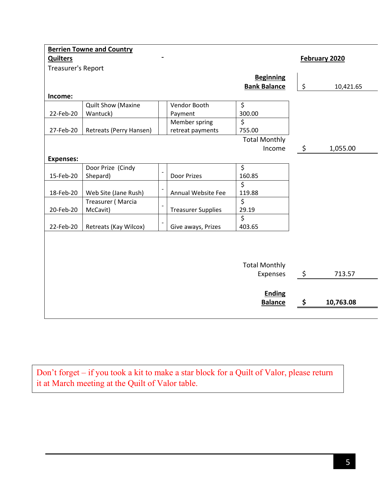|                           |                          |                           | <b>Berrien Towne and Country</b> |                           |
|---------------------------|--------------------------|---------------------------|----------------------------------|---------------------------|
| February 2020             |                          |                           |                                  | <b>Quilters</b>           |
|                           |                          |                           |                                  | <b>Treasurer's Report</b> |
|                           | <b>Beginning</b>         |                           |                                  |                           |
| \$<br>10,421.65           | <b>Bank Balance</b>      |                           |                                  |                           |
|                           |                          |                           |                                  | Income:                   |
|                           | $\overline{\mathcal{L}}$ | Vendor Booth              | <b>Quilt Show (Maxine</b>        |                           |
|                           | 300.00                   | Payment                   | Wantuck)                         | 22-Feb-20                 |
|                           | $\overline{\mathsf{S}}$  | Member spring             |                                  |                           |
|                           | 755.00                   | retreat payments          | Retreats (Perry Hansen)          | 27-Feb-20                 |
|                           | <b>Total Monthly</b>     |                           |                                  |                           |
| \$<br>1,055.00<br>Income  |                          |                           |                                  |                           |
|                           |                          |                           |                                  | <b>Expenses:</b>          |
|                           | \$                       |                           | Door Prize (Cindy                |                           |
|                           | 160.85                   | Door Prizes               | Shepard)                         | 15-Feb-20                 |
|                           | $\overline{\xi}$         |                           |                                  |                           |
|                           | 119.88                   | Annual Website Fee        | Web Site (Jane Rush)             | 18-Feb-20                 |
|                           | \$                       |                           | Treasurer (Marcia                |                           |
|                           | 29.19                    | <b>Treasurer Supplies</b> | McCavit)                         | 20-Feb-20                 |
|                           | \$                       |                           |                                  |                           |
|                           | 403.65                   | Give aways, Prizes        | Retreats (Kay Wilcox)            | 22-Feb-20                 |
|                           |                          |                           |                                  |                           |
|                           |                          |                           |                                  |                           |
|                           |                          |                           |                                  |                           |
|                           | <b>Total Monthly</b>     |                           |                                  |                           |
| 713.57                    | Expenses                 |                           |                                  |                           |
|                           |                          |                           |                                  |                           |
|                           |                          |                           |                                  |                           |
|                           |                          |                           |                                  |                           |
| 10,763.08                 |                          |                           |                                  |                           |
| \$<br><b>Ending</b><br>\$ | <b>Balance</b>           |                           |                                  |                           |

Don't forget – if you took a kit to make a star block for a Quilt of Valor, please return it at March meeting at the Quilt of Valor table.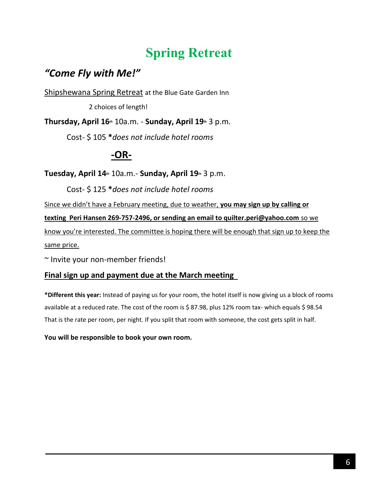# **Spring Retreat**

# *"Come Fly with Me!"*

Shipshewana Spring Retreat at the Blue Gate Garden Inn

2 choices of length!

**Thursday, April 16th** 10a.m. - **Sunday, April 19th** 3 p.m.

Cost- \$ 105 **\****does not include hotel rooms*

# **-OR-**

**Tuesday, April 14th** 10a.m.- **Sunday, April 19th** 3 p.m.

Cost- \$ 125 **\****does not include hotel rooms*

Since we didn't have a February meeting, due to weather, **you may sign up by calling or** 

**texting Peri Hansen 269-757-2496, or sending an email to quilter.peri@yahoo.com** so we

know you're interested. The committee is hoping there will be enough that sign up to keep the same price.

~ Invite your non-member friends!

## **Final sign up and payment due at the March meeting**

**\*Different this year:** Instead of paying us for your room, the hotel itself is now giving us a block of rooms available at a reduced rate. The cost of the room is \$ 87.98, plus 12% room tax- which equals \$ 98.54 That is the rate per room, per night. If you split that room with someone, the cost gets split in half.

**You will be responsible to book your own room.**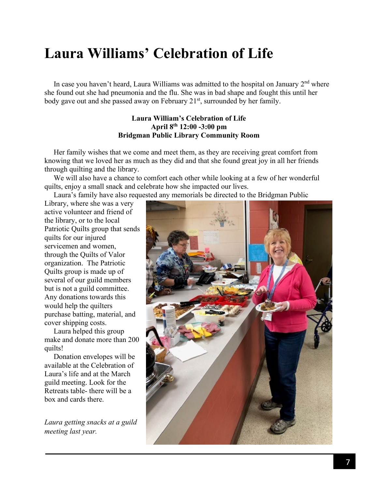# **Laura Williams' Celebration of Life**

In case you haven't heard, Laura Williams was admitted to the hospital on January  $2<sup>nd</sup>$  where she found out she had pneumonia and the flu. She was in bad shape and fought this until her body gave out and she passed away on February 21<sup>st</sup>, surrounded by her family.

#### **Laura William's Celebration of Life April 8 th 12:00 -3:00 pm Bridgman Public Library Community Room**

 Her family wishes that we come and meet them, as they are receiving great comfort from knowing that we loved her as much as they did and that she found great joy in all her friends through quilting and the library.

 We will also have a chance to comfort each other while looking at a few of her wonderful quilts, enjoy a small snack and celebrate how she impacted our lives.

Laura's family have also requested any memorials be directed to the Bridgman Public

Library, where she was a very active volunteer and friend of the library, or to the local Patriotic Quilts group that sends quilts for our injured servicemen and women, through the Quilts of Valor organization. The Patriotic Quilts group is made up of several of our guild members but is not a guild committee. Any donations towards this would help the quilters purchase batting, material, and cover shipping costs.

 Laura helped this group make and donate more than 200 quilts!

 Donation envelopes will be available at the Celebration of Laura's life and at the March guild meeting. Look for the Retreats table- there will be a box and cards there.

*Laura getting snacks at a guild meeting last year.*